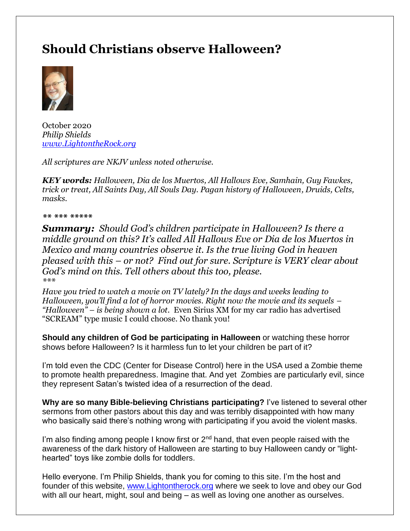# **Should Christians observe Halloween?**



October 2020 *Philip Shields [www.LightontheRock.org](http://www.lightontherock.org/)*

*All scriptures are NKJV unless noted otherwise.* 

*KEY words: Halloween, Dia de los Muertos, All Hallows Eve, Samhain, Guy Fawkes, trick or treat, All Saints Day, All Souls Day. Pagan history of Halloween, Druids, Celts, masks.* 

#### *\*\* \*\*\* \*\*\*\*\**

*Summary: Should God's children participate in Halloween? Is there a middle ground on this? It's called All Hallows Eve or Dia de los Muertos in Mexico and many countries observe it. Is the true living God in heaven pleased with this – or not? Find out for sure. Scripture is VERY clear about God's mind on this. Tell others about this too, please. \*\*\**

*Have you tried to watch a movie on TV lately? In the days and weeks leading to Halloween, you'll find a lot of horror movies. Right now the movie and its sequels – "Halloween" – is being shown a lot.* Even Sirius XM for my car radio has advertised "SCREAM" type music I could choose. No thank you!

**Should any children of God be participating in Halloween** or watching these horror shows before Halloween? Is it harmless fun to let your children be part of it?

I'm told even the CDC (Center for Disease Control) here in the USA used a Zombie theme to promote health preparedness. Imagine that. And yet Zombies are particularly evil, since they represent Satan's twisted idea of a resurrection of the dead.

**Why are so many Bible-believing Christians participating?** I've listened to several other sermons from other pastors about this day and was terribly disappointed with how many who basically said there's nothing wrong with participating if you avoid the violent masks.

I'm also finding among people I know first or  $2<sup>nd</sup>$  hand, that even people raised with the awareness of the dark history of Halloween are starting to buy Halloween candy or "lighthearted" toys like zombie dolls for toddlers.

Hello everyone. I'm Philip Shields, thank you for coming to this site. I'm the host and founder of this website, [www.Lightontherock.org](http://www.lightontherock.org/) where we seek to love and obey our God with all our heart, might, soul and being – as well as loving one another as ourselves.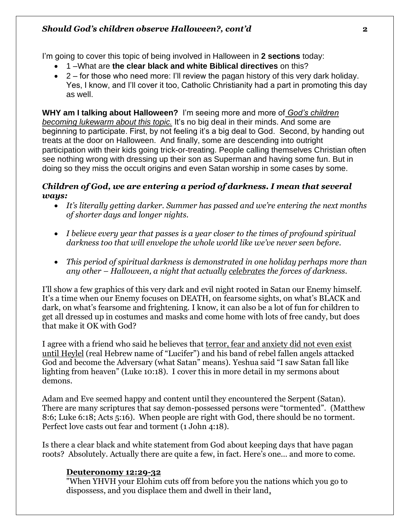I'm going to cover this topic of being involved in Halloween in **2 sections** today:

- 1 –What are **the clear black and white Biblical directives** on this?
- $\bullet$  2 for those who need more: I'll review the pagan history of this very dark holiday. Yes, I know, and I'll cover it too, Catholic Christianity had a part in promoting this day as well.

**WHY am I talking about Halloween?** I'm seeing more and more of *God's children becoming lukewarm about this topic.* It's no big deal in their minds. And some are beginning to participate. First, by not feeling it's a big deal to God. Second, by handing out treats at the door on Halloween. And finally, some are descending into outright participation with their kids going trick-or-treating. People calling themselves Christian often see nothing wrong with dressing up their son as Superman and having some fun. But in doing so they miss the occult origins and even Satan worship in some cases by some.

# *Children of God, we are entering a period of darkness. I mean that several ways:*

- *It's literally getting darker. Summer has passed and we're entering the next months of shorter days and longer nights.*
- *I believe every year that passes is a year closer to the times of profound spiritual darkness too that will envelope the whole world like we've never seen before.*
- *This period of spiritual darkness is demonstrated in one holiday perhaps more than any other – Halloween, a night that actually celebrates the forces of darkness.*

I'll show a few graphics of this very dark and evil night rooted in Satan our Enemy himself. It's a time when our Enemy focuses on DEATH, on fearsome sights, on what's BLACK and dark, on what's fearsome and frightening. I know, it can also be a lot of fun for children to get all dressed up in costumes and masks and come home with lots of free candy, but does that make it OK with God?

I agree with a friend who said he believes that terror, fear and anxiety did not even exist until Heylel (real Hebrew name of "Lucifer") and his band of rebel fallen angels attacked God and become the Adversary (what Satan" means). Yeshua said "I saw Satan fall like lighting from heaven" (Luke 10:18). I cover this in more detail in my sermons about demons.

Adam and Eve seemed happy and content until they encountered the Serpent (Satan). There are many scriptures that say demon-possessed persons were "tormented". (Matthew 8:6; Luke 6:18; Acts 5:16). When people are right with God, there should be no torment. Perfect love casts out fear and torment (1 John 4:18).

Is there a clear black and white statement from God about keeping days that have pagan roots? Absolutely. Actually there are quite a few, in fact. Here's one… and more to come.

### **Deuteronomy 12:29-32**

"When YHVH your Elohim cuts off from before you the nations which you go to dispossess, and you displace them and dwell in their land,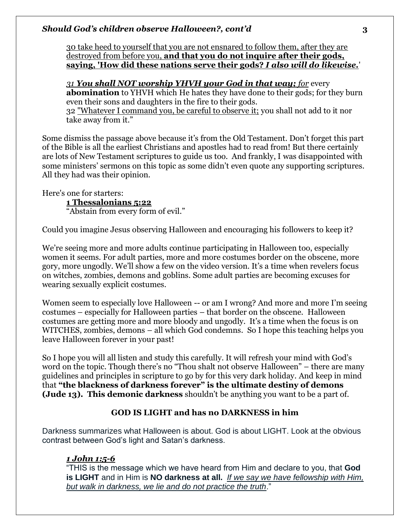30 take heed to yourself that you are not ensnared to follow them, after they are destroyed from before you, **and that you do not inquire after their gods, saying, 'How did these nations serve their gods?** *I also will do likewise.*'

*31 You shall NOT worship YHVH your God in that way; for* every **abomination** to YHVH which He hates they have done to their gods; for they burn even their sons and daughters in the fire to their gods. 32 "Whatever I command you, be careful to observe it; you shall not add to it nor take away from it."

Some dismiss the passage above because it's from the Old Testament. Don't forget this part of the Bible is all the earliest Christians and apostles had to read from! But there certainly are lots of New Testament scriptures to guide us too. And frankly, I was disappointed with some ministers' sermons on this topic as some didn't even quote any supporting scriptures. All they had was their opinion.

Here's one for starters: **1 Thessalonians 5:22** "Abstain from every form of evil."

Could you imagine Jesus observing Halloween and encouraging his followers to keep it?

We're seeing more and more adults continue participating in Halloween too, especially women it seems. For adult parties, more and more costumes border on the obscene, more gory, more ungodly. We'll show a few on the video version. It's a time when revelers focus on witches, zombies, demons and goblins. Some adult parties are becoming excuses for wearing sexually explicit costumes.

Women seem to especially love Halloween -- or am I wrong? And more and more I'm seeing costumes – especially for Halloween parties – that border on the obscene. Halloween costumes are getting more and more bloody and ungodly. It's a time when the focus is on WITCHES, zombies, demons – all which God condemns. So I hope this teaching helps you leave Halloween forever in your past!

So I hope you will all listen and study this carefully. It will refresh your mind with God's word on the topic. Though there's no "Thou shalt not observe Halloween" – there are many guidelines and principles in scripture to go by for this very dark holiday. And keep in mind that **"the blackness of darkness forever" is the ultimate destiny of demons (Jude 13). This demonic darkness** shouldn't be anything you want to be a part of.

# **GOD IS LIGHT and has no DARKNESS in him**

Darkness summarizes what Halloween is about. God is about LIGHT. Look at the obvious contrast between God's light and Satan's darkness.

### *1 John 1:5-6*

"THIS is the message which we have heard from Him and declare to you, that **God is LIGHT** and in Him is **NO darkness at all.** *If we say we have fellowship with Him, but walk in darkness, we lie and do not practice the truth*."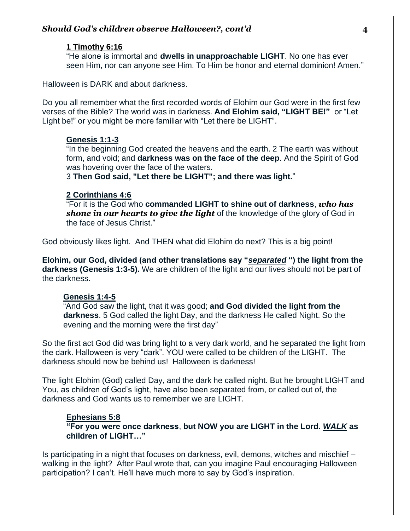#### **[1 Timothy 6:16](https://biblehub.com/1_timothy/6-16.htm)**

"He alone is immortal and **dwells in unapproachable LIGHT**. No one has ever seen Him, nor can anyone see Him. To Him be honor and eternal dominion! Amen."

Halloween is DARK and about darkness.

Do you all remember what the first recorded words of Elohim our God were in the first few verses of the Bible? The world was in darkness. **And Elohim said, "LIGHT BE!"** or "Let Light be!" or you might be more familiar with "Let there be LIGHT".

#### **Genesis 1:1-3**

"In the beginning God created the heavens and the earth. 2 The earth was without form, and void; and **darkness was on the face of the deep**. And the Spirit of God was hovering over the face of the waters.

3 **Then God said, "Let there be LIGHT"; and there was light.**"

#### **2 Corinthians 4:6**

"For it is the God who **commanded LIGHT to shine out of darkness**, *who has shone in our hearts to give the light* of the knowledge of the glory of God in the face of Jesus Christ."

God obviously likes light. And THEN what did Elohim do next? This is a big point!

**Elohim, our God, divided (and other translations say "***separated* **") the light from the darkness (Genesis 1:3-5).** We are children of the light and our lives should not be part of the darkness.

#### **Genesis 1:4-5**

"And God saw the light, that it was good; **and God divided the light from the darkness**. 5 God called the light Day, and the darkness He called Night. So the evening and the morning were the first day"

So the first act God did was bring light to a very dark world, and he separated the light from the dark. Halloween is very "dark". YOU were called to be children of the LIGHT. The darkness should now be behind us! Halloween is darkness!

The light Elohim (God) called Day, and the dark he called night. But he brought LIGHT and You, as children of God's light, have also been separated from, or called out of, the darkness and God wants us to remember we are LIGHT.

#### **Ephesians 5:8**

**"For you were once darkness**, **but NOW you are LIGHT in the Lord.** *WALK* **as children of LIGHT…"**

Is participating in a night that focuses on darkness, evil, demons, witches and mischief – walking in the light? After Paul wrote that, can you imagine Paul encouraging Halloween participation? I can't. He'll have much more to say by God's inspiration.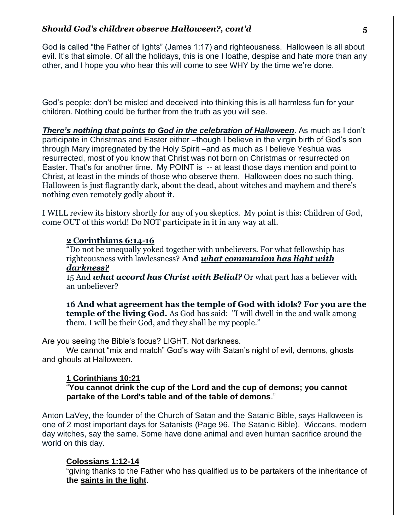God is called "the Father of lights" (James 1:17) and righteousness. Halloween is all about evil. It's that simple. Of all the holidays, this is one I loathe, despise and hate more than any other, and I hope you who hear this will come to see WHY by the time we're done.

God's people: don't be misled and deceived into thinking this is all harmless fun for your children. Nothing could be further from the truth as you will see.

*There's nothing that points to God in the celebration of Halloween*. As much as I don't participate in Christmas and Easter either –though I believe in the virgin birth of God's son through Mary impregnated by the Holy Spirit –and as much as I believe Yeshua was resurrected, most of you know that Christ was not born on Christmas or resurrected on Easter. That's for another time. My POINT is -- at least those days mention and point to Christ, at least in the minds of those who observe them. Halloween does no such thing. Halloween is just flagrantly dark, about the dead, about witches and mayhem and there's nothing even remotely godly about it.

I WILL review its history shortly for any of you skeptics. My point is this: Children of God, come OUT of this world! Do NOT participate in it in any way at all.

#### **2 Corinthians 6:14-16**

"Do not be unequally yoked together with unbelievers. For what fellowship has righteousness with lawlessness? **And** *what communion has light with darkness?*

15 And *what accord has Christ with Belial?* Or what part has a believer with an unbeliever?

**16 And what agreement has the temple of God with idols? For you are the temple of the living God.** As God has said: "I will dwell in the and walk among them. I will be their God, and they shall be my people."

Are you seeing the Bible's focus? LIGHT. Not darkness.

We cannot "mix and match" God's way with Satan's night of evil, demons, ghosts and ghouls at Halloween.

### **1 Corinthians 10:21**

"**You cannot drink the cup of the Lord and the cup of demons; you cannot partake of the Lord's table and of the table of demons**."

Anton LaVey, the founder of the Church of Satan and the Satanic Bible, says Halloween is one of 2 most important days for Satanists (Page 96, The Satanic Bible). Wiccans, modern day witches, say the same. Some have done animal and even human sacrifice around the world on this day.

#### **Colossians 1:12-14**

"giving thanks to the Father who has qualified us to be partakers of the inheritance of **the saints in the light**.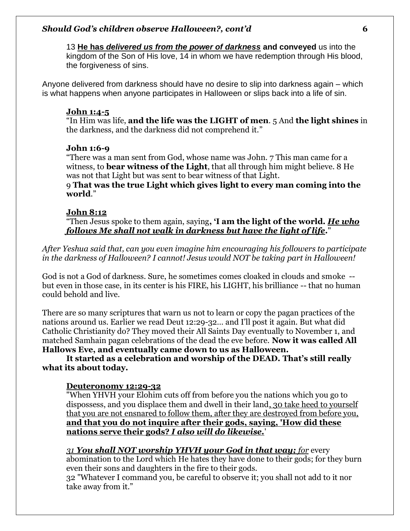13 **He has** *delivered us from the power of darkness* **and conveyed** us into the kingdom of the Son of His love, 14 in whom we have redemption through His blood, the forgiveness of sins.

Anyone delivered from darkness should have no desire to slip into darkness again – which is what happens when anyone participates in Halloween or slips back into a life of sin.

#### **John 1:4-5**

"In Him was life, **and the life was the LIGHT of men**. 5 And **the light shines** in the darkness, and the darkness did not comprehend it."

### **John 1:6-9**

"There was a man sent from God, whose name was John. 7 This man came for a witness, to **bear witness of the Light**, that all through him might believe. 8 He was not that Light but was sent to bear witness of that Light.

9 **That was the true Light which gives light to every man coming into the world**."

#### **John 8:12**

"Then Jesus spoke to them again, saying**, 'I am the light of the world.** *He who follows Me shall not walk in darkness but have the light of life***.**"

*After Yeshua said that, can you even imagine him encouraging his followers to participate in the darkness of Halloween? I cannot! Jesus would NOT be taking part in Halloween!* 

God is not a God of darkness. Sure, he sometimes comes cloaked in clouds and smoke - but even in those case, in its center is his FIRE, his LIGHT, his brilliance -- that no human could behold and live.

There are so many scriptures that warn us not to learn or copy the pagan practices of the nations around us. Earlier we read Deut 12:29-32… and I'll post it again. But what did Catholic Christianity do? They moved their All Saints Day eventually to November 1, and matched Samhain pagan celebrations of the dead the eve before. **Now it was called All Hallows Eve, and eventually came down to us as Halloween.** 

**It started as a celebration and worship of the DEAD. That's still really what its about today.** 

#### **Deuteronomy 12:29-32**

"When YHVH your Elohim cuts off from before you the nations which you go to dispossess, and you displace them and dwell in their land, 30 take heed to yourself that you are not ensnared to follow them, after they are destroyed from before you, **and that you do not inquire after their gods, saying, 'How did these nations serve their gods?** *I also will do likewise.*'

#### *31 You shall NOT worship YHVH your God in that way; for* every

abomination to the Lord which He hates they have done to their gods; for they burn even their sons and daughters in the fire to their gods.

32 "Whatever I command you, be careful to observe it; you shall not add to it nor take away from it."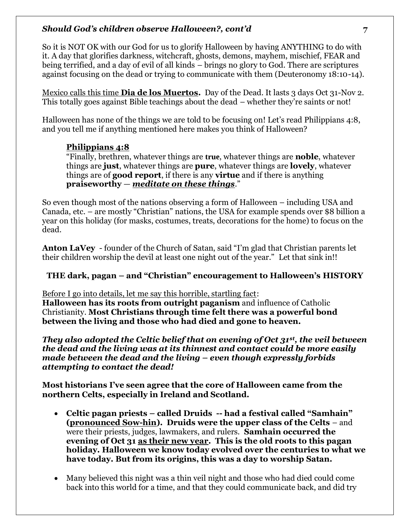So it is NOT OK with our God for us to glorify Halloween by having ANYTHING to do with it. A day that glorifies darkness, witchcraft, ghosts, demons, mayhem, mischief, FEAR and being terrified, and a day of evil of all kinds – brings no glory to God. There are scriptures against focusing on the dead or trying to communicate with them (Deuteronomy 18:10-14).

Mexico calls this time **Dia de los Muertos.** Day of the Dead. It lasts 3 days Oct 31-Nov 2. This totally goes against Bible teachings about the dead – whether they're saints or not!

Halloween has none of the things we are told to be focusing on! Let's read Philippians 4:8, and you tell me if anything mentioned here makes you think of Halloween?

# **Philippians 4:8**

"Finally, brethren, whatever things are **true**, whatever things are **noble**, whatever things are **just**, whatever things are **pure**, whatever things are **lovely**, whatever things are of **good report**, if there is any **virtue** and if there is anything **praiseworthy** — *meditate on these things*."

So even though most of the nations observing a form of Halloween – including USA and Canada, etc. – are mostly "Christian" nations, the USA for example spends over \$8 billion a year on this holiday (for masks, costumes, treats, decorations for the home) to focus on the dead.

**Anton LaVey** - founder of the Church of Satan, said "I'm glad that Christian parents let their children worship the devil at least one night out of the year." Let that sink in!!

# **THE dark, pagan – and "Christian" encouragement to Halloween's HISTORY**

Before I go into details, let me say this horrible, startling fact:

**Halloween has its roots from outright paganism** and influence of Catholic Christianity. **Most Christians through time felt there was a powerful bond between the living and those who had died and gone to heaven.** 

*They also adopted the Celtic belief that on evening of Oct 31st, the veil between the dead and the living was at its thinnest and contact could be more easily made between the dead and the living – even though expressly forbids attempting to contact the dead!* 

**Most historians I've seen agree that the core of Halloween came from the northern Celts, especially in Ireland and Scotland.** 

- **Celtic pagan priests – called Druids -- had a festival called "Samhain" (pronounced Sow-hin). Druids were the upper class of the Celts** – and were their priests, judges, lawmakers, and rulers. **Samhain occurred the evening of Oct 31 as their new year. This is the old roots to this pagan holiday. Halloween we know today evolved over the centuries to what we have today. But from its origins, this was a day to worship Satan.**
- Many believed this night was a thin veil night and those who had died could come back into this world for a time, and that they could communicate back, and did try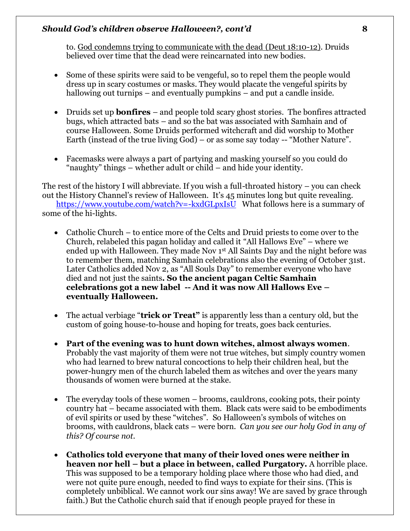to. God condemns trying to communicate with the dead (Deut 18:10-12). Druids believed over time that the dead were reincarnated into new bodies.

- Some of these spirits were said to be vengeful, so to repel them the people would dress up in scary costumes or masks. They would placate the vengeful spirits by hallowing out turnips – and eventually pumpkins – and put a candle inside.
- Druids set up **bonfires** and people told scary ghost stories. The bonfires attracted bugs, which attracted bats – and so the bat was associated with Samhain and of course Halloween. Some Druids performed witchcraft and did worship to Mother Earth (instead of the true living God) – or as some say today -- "Mother Nature".
- Facemasks were always a part of partying and masking yourself so you could do "naughty" things – whether adult or child – and hide your identity.

The rest of the history I will abbreviate. If you wish a full-throated history – you can check out the History Channel's review of Halloween. It's 45 minutes long but quite revealing. <https://www.youtube.com/watch?v=-kxdGLpxIsU>What follows here is a summary of some of the hi-lights.

- Catholic Church to entice more of the Celts and Druid priests to come over to the Church, relabeled this pagan holiday and called it "All Hallows Eve" – where we ended up with Halloween. They made Nov 1st All Saints Day and the night before was to remember them, matching Samhain celebrations also the evening of October 31st. Later Catholics added Nov 2, as "All Souls Day" to remember everyone who have died and not just the saints**. So the ancient pagan Celtic Samhain celebrations got a new label -- And it was now All Hallows Eve – eventually Halloween.**
- The actual verbiage "**trick or Treat"** is apparently less than a century old, but the custom of going house-to-house and hoping for treats, goes back centuries.
- **Part of the evening was to hunt down witches, almost always women**. Probably the vast majority of them were not true witches, but simply country women who had learned to brew natural concoctions to help their children heal, but the power-hungry men of the church labeled them as witches and over the years many thousands of women were burned at the stake.
- The everyday tools of these women brooms, cauldrons, cooking pots, their pointy country hat – became associated with them. Black cats were said to be embodiments of evil spirits or used by these "witches". So Halloween's symbols of witches on brooms, with cauldrons, black cats – were born. *Can you see our holy God in any of this? Of course not.*
- **Catholics told everyone that many of their loved ones were neither in heaven nor hell – but a place in between, called Purgatory.** A horrible place. This was supposed to be a temporary holding place where those who had died, and were not quite pure enough, needed to find ways to expiate for their sins. (This is completely unbiblical. We cannot work our sins away! We are saved by grace through faith.) But the Catholic church said that if enough people prayed for these in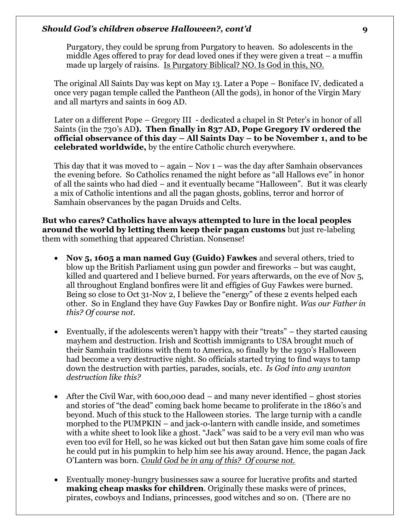Purgatory, they could be sprung from Purgatory to heaven. So adolescents in the middle Ages offered to pray for dead loved ones if they were given a treat – a muffin made up largely of raisins. Is Purgatory Biblical? NO. Is God in this, NO.

The original All Saints Day was kept on May 13. Later a Pope – Boniface IV, dedicated a once very pagan temple called the Pantheon (All the gods), in honor of the Virgin Mary and all martyrs and saints in 609 AD.

Later on a different Pope – Gregory III - dedicated a chapel in St Peter's in honor of all Saints (in the 730's AD**). Then finally in 837 AD, Pope Gregory IV ordered the official observance of this day – All Saints Day – to be November 1, and to be celebrated worldwide,** by the entire Catholic church everywhere.

This day that it was moved to  $-$  again  $-$  Nov  $1$   $-$  was the day after Samhain observances the evening before. So Catholics renamed the night before as "all Hallows eve" in honor of all the saints who had died – and it eventually became "Halloween". But it was clearly a mix of Catholic intentions and all the pagan ghosts, goblins, terror and horror of Samhain observances by the pagan Druids and Celts.

**But who cares? Catholics have always attempted to lure in the local peoples around the world by letting them keep their pagan customs** but just re-labeling them with something that appeared Christian. Nonsense!

- **Nov 5, 1605 a man named Guy (Guido) Fawkes** and several others, tried to blow up the British Parliament using gun powder and fireworks – but was caught, killed and quartered and I believe burned. For years afterwards, on the eve of Nov 5, all throughout England bonfires were lit and effigies of Guy Fawkes were burned. Being so close to Oct 31-Nov 2, I believe the "energy" of these 2 events helped each other. So in England they have Guy Fawkes Day or Bonfire night. *Was our Father in this? Of course not.*
- Eventually, if the adolescents weren't happy with their "treats" they started causing mayhem and destruction. Irish and Scottish immigrants to USA brought much of their Samhain traditions with them to America, so finally by the 1930's Halloween had become a very destructive night. So officials started trying to find ways to tamp down the destruction with parties, parades, socials, etc*. Is God into any wanton destruction like this?*
- After the Civil War, with 600,000 dead and many never identified ghost stories and stories of "the dead" coming back home became to proliferate in the 1860's and beyond. Much of this stuck to the Halloween stories. The large turnip with a candle morphed to the PUMPKIN – and jack-o-lantern with candle inside, and sometimes with a white sheet to look like a ghost. "Jack" was said to be a very evil man who was even too evil for Hell, so he was kicked out but then Satan gave him some coals of fire he could put in his pumpkin to help him see his away around. Hence, the pagan Jack O'Lantern was born. *Could God be in any of this? Of course not.*
- Eventually money-hungry businesses saw a source for lucrative profits and started **making cheap masks for children**. Originally these masks were of princes, pirates, cowboys and Indians, princesses, good witches and so on. (There are no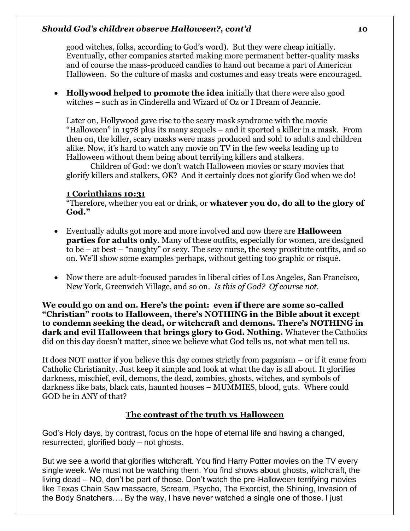good witches, folks, according to God's word). But they were cheap initially. Eventually, other companies started making more permanent better-quality masks and of course the mass-produced candies to hand out became a part of American Halloween. So the culture of masks and costumes and easy treats were encouraged.

• **Hollywood helped to promote the idea** initially that there were also good witches – such as in Cinderella and Wizard of Oz or I Dream of Jeannie.

Later on, Hollywood gave rise to the scary mask syndrome with the movie "Halloween" in 1978 plus its many sequels – and it sported a killer in a mask. From then on, the killer, scary masks were mass produced and sold to adults and children alike. Now, it's hard to watch any movie on TV in the few weeks leading up to Halloween without them being about terrifying killers and stalkers.

Children of God: we don't watch Halloween movies or scary movies that glorify killers and stalkers, OK? And it certainly does not glorify God when we do!

### **1 Corinthians 10:31**

"Therefore, whether you eat or drink, or **whatever you do, do all to the glory of God."**

- Eventually adults got more and more involved and now there are **Halloween parties for adults only**. Many of these outfits, especially for women, are designed to be – at best – "naughty" or sexy. The sexy nurse, the sexy prostitute outfits, and so on. We'll show some examples perhaps, without getting too graphic or risqué.
- Now there are adult-focused parades in liberal cities of Los Angeles, San Francisco, New York, Greenwich Village, and so on. *Is this of God? Of course not.*

**We could go on and on. Here's the point: even if there are some so-called "Christian" roots to Halloween, there's NOTHING in the Bible about it except to condemn seeking the dead, or witchcraft and demons. There's NOTHING in dark and evil Halloween that brings glory to God. Nothing.** Whatever the Catholics did on this day doesn't matter, since we believe what God tells us, not what men tell us.

It does NOT matter if you believe this day comes strictly from paganism – or if it came from Catholic Christianity. Just keep it simple and look at what the day is all about. It glorifies darkness, mischief, evil, demons, the dead, zombies, ghosts, witches, and symbols of darkness like bats, black cats, haunted houses – MUMMIES, blood, guts. Where could GOD be in ANY of that?

# **The contrast of the truth vs Halloween**

God's Holy days, by contrast, focus on the hope of eternal life and having a changed, resurrected, glorified body – not ghosts.

But we see a world that glorifies witchcraft. You find Harry Potter movies on the TV every single week. We must not be watching them. You find shows about ghosts, witchcraft, the living dead – NO, don't be part of those. Don't watch the pre-Halloween terrifying movies like Texas Chain Saw massacre, Scream, Psycho, The Exorcist, the Shining, Invasion of the Body Snatchers…. By the way, I have never watched a single one of those. I just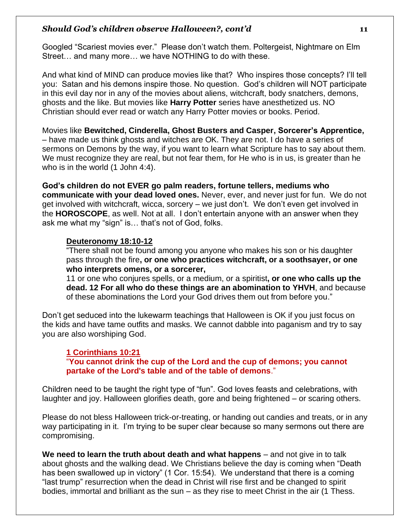Googled "Scariest movies ever." Please don't watch them. Poltergeist, Nightmare on Elm Street… and many more… we have NOTHING to do with these.

And what kind of MIND can produce movies like that? Who inspires those concepts? I'll tell you: Satan and his demons inspire those. No question. God's children will NOT participate in this evil day nor in any of the movies about aliens, witchcraft, body snatchers, demons, ghosts and the like. But movies like **Harry Potter** series have anesthetized us. NO Christian should ever read or watch any Harry Potter movies or books. Period.

Movies like **Bewitched, Cinderella, Ghost Busters and Casper, Sorcerer's Apprentice,** – have made us think ghosts and witches are OK. They are not. I do have a series of sermons on Demons by the way, if you want to learn what Scripture has to say about them. We must recognize they are real, but not fear them, for He who is in us, is greater than he who is in the world (1 John 4:4).

**God's children do not EVER go palm readers, fortune tellers, mediums who communicate with your dead loved ones.** Never, ever, and never just for fun. We do not get involved with witchcraft, wicca, sorcery – we just don't. We don't even get involved in the **HOROSCOPE**, as well. Not at all. I don't entertain anyone with an answer when they ask me what my "sign" is… that's not of God, folks.

### **Deuteronomy 18:10-12**

"There shall not be found among you anyone who makes his son or his daughter pass through the fire**, or one who practices witchcraft, or a soothsayer, or one who interprets omens, or a sorcerer,**

11 or one who conjures spells, or a medium, or a spiritist**, or one who calls up the dead. 12 For all who do these things are an abomination to YHVH**, and because of these abominations the Lord your God drives them out from before you."

Don't get seduced into the lukewarm teachings that Halloween is OK if you just focus on the kids and have tame outfits and masks. We cannot dabble into paganism and try to say you are also worshiping God.

# **1 Corinthians 10:21**

"**You cannot drink the cup of the Lord and the cup of demons; you cannot partake of the Lord's table and of the table of demons**."

Children need to be taught the right type of "fun". God loves feasts and celebrations, with laughter and joy. Halloween glorifies death, gore and being frightened – or scaring others.

Please do not bless Halloween trick-or-treating, or handing out candies and treats, or in any way participating in it. I'm trying to be super clear because so many sermons out there are compromising.

**We need to learn the truth about death and what happens** – and not give in to talk about ghosts and the walking dead. We Christians believe the day is coming when "Death has been swallowed up in victory" (1 Cor. 15:54). We understand that there is a coming "last trump" resurrection when the dead in Christ will rise first and be changed to spirit bodies, immortal and brilliant as the sun – as they rise to meet Christ in the air (1 Thess.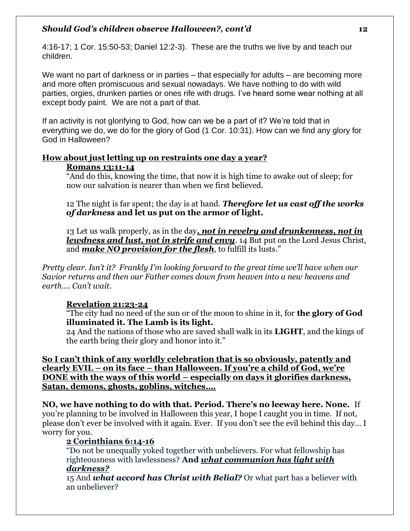4:16-17; 1 Cor. 15:50-53; Daniel 12:2-3). These are the truths we live by and teach our children.

We want no part of darkness or in parties – that especially for adults – are becoming more and more often promiscuous and sexual nowadays. We have nothing to do with wild parties, orgies, drunken parties or ones rife with drugs. I've heard some wear nothing at all except body paint. We are not a part of that.

If an activity is not glorifying to God, how can we be a part of it? We're told that in everything we do, we do for the glory of God (1 Cor. 10:31). How can we find any glory for God in Halloween?

# **How about just letting up on restraints one day a year?**

### **Romans 13:11-14**

"And do this, knowing the time, that now it is high time to awake out of sleep; for now our salvation is nearer than when we first believed.

12 The night is far spent; the day is at hand. *Therefore let us cast off the works of darkness* **and let us put on the armor of light.**

13 Let us walk properly, as in the day*, not in revelry and drunkenness, not in lewdness and lust, not in strife and envy*. 14 But put on the Lord Jesus Christ, and *make NO provision for the flesh*, to fulfill its lusts."

*Pretty clear. Isn't it? Frankly I'm looking forward to the great time we'll have when our Savior returns and then our Father comes down from heaven into a new heavens and earth…. Can't wait.* 

# **Revelation 21:23-24**

"The city had no need of the sun or of the moon to shine in it, for **the glory of God illuminated it. The Lamb is its light.**

24 And the nations of those who are saved shall walk in its **LIGHT**, and the kings of the earth bring their glory and honor into it."

**So I can't think of any worldly celebration that is so obviously, patently and clearly EVIL – on its face – than Halloween. If you're a child of God, we're DONE with the ways of this world – especially on days it glorifies darkness, Satan, demons, ghosts, goblins, witches….** 

**NO, we have nothing to do with that. Period. There's no leeway here. None.** If you're planning to be involved in Halloween this year, I hope I caught you in time. If not, please don't ever be involved with it again. Ever. If you don't see the evil behind this day… I worry for you.

# **2 Corinthians 6:14-16**

"Do not be unequally yoked together with unbelievers. For what fellowship has righteousness with lawlessness? **And** *what communion has light with darkness?*

15 And *what accord has Christ with Belial?* Or what part has a believer with an unbeliever?